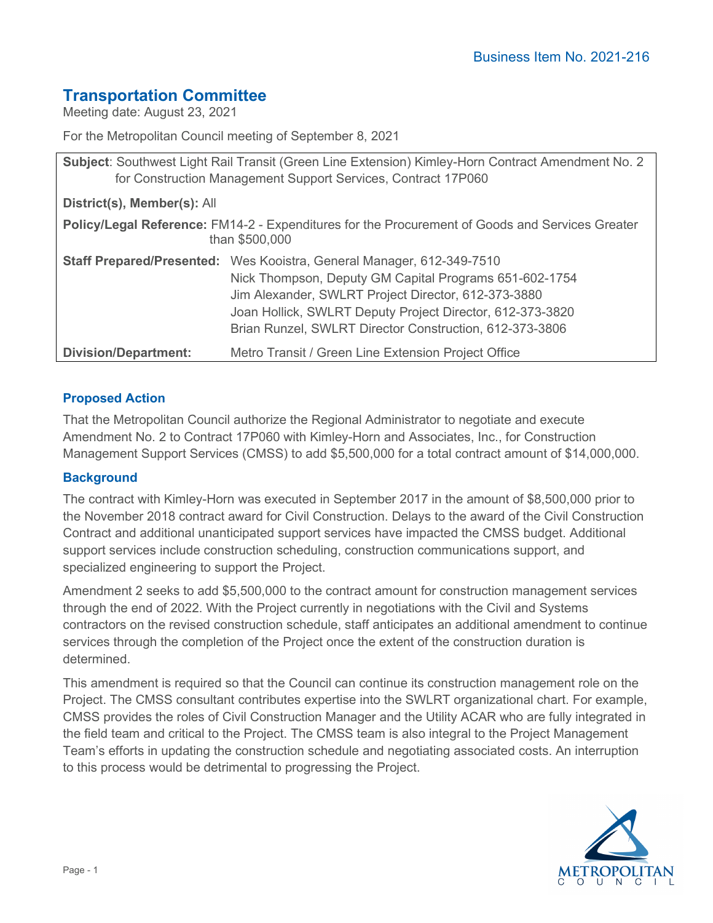# **Transportation Committee**

Meeting date: August 23, 2021

For the Metropolitan Council meeting of September 8, 2021

| Subject: Southwest Light Rail Transit (Green Line Extension) Kimley-Horn Contract Amendment No. 2<br>for Construction Management Support Services, Contract 17P060 |                                                                                                                                                                                                                                                                                                                |
|--------------------------------------------------------------------------------------------------------------------------------------------------------------------|----------------------------------------------------------------------------------------------------------------------------------------------------------------------------------------------------------------------------------------------------------------------------------------------------------------|
| District(s), Member(s): All                                                                                                                                        |                                                                                                                                                                                                                                                                                                                |
| Policy/Legal Reference: FM14-2 - Expenditures for the Procurement of Goods and Services Greater<br>than \$500,000                                                  |                                                                                                                                                                                                                                                                                                                |
|                                                                                                                                                                    | Staff Prepared/Presented: Wes Kooistra, General Manager, 612-349-7510<br>Nick Thompson, Deputy GM Capital Programs 651-602-1754<br>Jim Alexander, SWLRT Project Director, 612-373-3880<br>Joan Hollick, SWLRT Deputy Project Director, 612-373-3820<br>Brian Runzel, SWLRT Director Construction, 612-373-3806 |
| <b>Division/Department:</b>                                                                                                                                        | Metro Transit / Green Line Extension Project Office                                                                                                                                                                                                                                                            |

## **Proposed Action**

That the Metropolitan Council authorize the Regional Administrator to negotiate and execute Amendment No. 2 to Contract 17P060 with Kimley-Horn and Associates, Inc., for Construction Management Support Services (CMSS) to add \$5,500,000 for a total contract amount of \$14,000,000.

## **Background**

The contract with Kimley-Horn was executed in September 2017 in the amount of \$8,500,000 prior to the November 2018 contract award for Civil Construction. Delays to the award of the Civil Construction Contract and additional unanticipated support services have impacted the CMSS budget. Additional support services include construction scheduling, construction communications support, and specialized engineering to support the Project.

Amendment 2 seeks to add \$5,500,000 to the contract amount for construction management services through the end of 2022. With the Project currently in negotiations with the Civil and Systems contractors on the revised construction schedule, staff anticipates an additional amendment to continue services through the completion of the Project once the extent of the construction duration is determined.

This amendment is required so that the Council can continue its construction management role on the Project. The CMSS consultant contributes expertise into the SWLRT organizational chart. For example, CMSS provides the roles of Civil Construction Manager and the Utility ACAR who are fully integrated in the field team and critical to the Project. The CMSS team is also integral to the Project Management Team's efforts in updating the construction schedule and negotiating associated costs. An interruption to this process would be detrimental to progressing the Project.